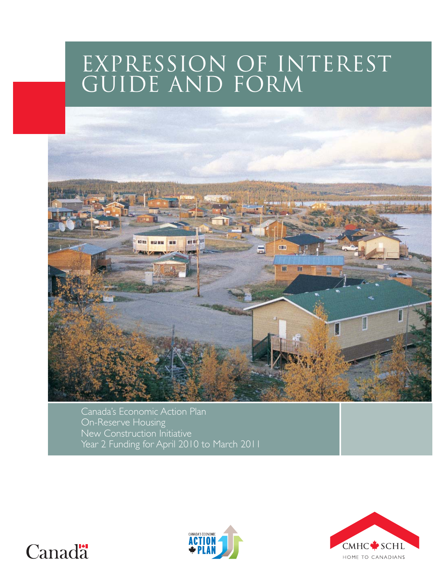# EXPRESSION OF INTEREST



Canada's Economic Action Plan On-Reserve Housing New Construction Initiative Year 2 Funding for April 2010 to March 2011





# Canada<sup>1</sup>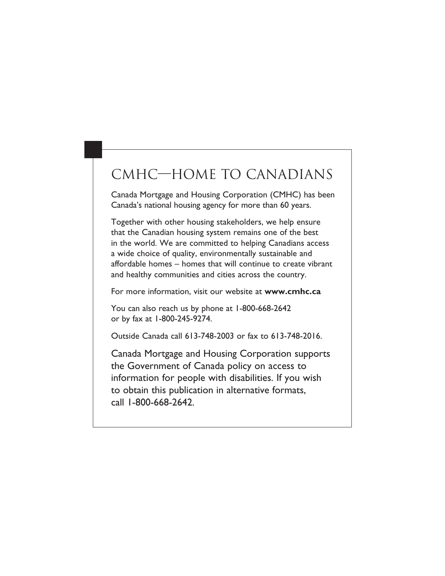# CMHC-HOME TO CANADIANS

Canada Mortgage and Housing Corporation (CMHC) has been Canada's national housing agency for more than 60 years.

Together with other housing stakeholders, we help ensure that the Canadian housing system remains one of the best in the world. We are committed to helping Canadians access a wide choice of quality, environmentally sustainable and affordable homes - homes that will continue to create vibrant and healthy communities and cities across the country.

For more information, visit our website at www.cmhc.ca

You can also reach us by phone at 1-800-668-2642 or by fax at 1-800-245-9274.

Outside Canada call 613-748-2003 or fax to 613-748-2016.

Canada Mortgage and Housing Corporation supports the Government of Canada policy on access to information for people with disabilities. If you wish to obtain this publication in alternative formats, call 1-800-668-2642.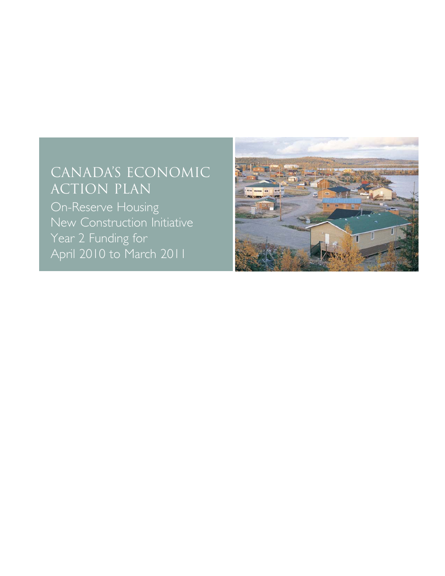# CANADA'S ECONOMIC **ACTION PLAN**

On-Reserve Housing New Construction Initiative Year 2 Funding for April 2010 to March 2011

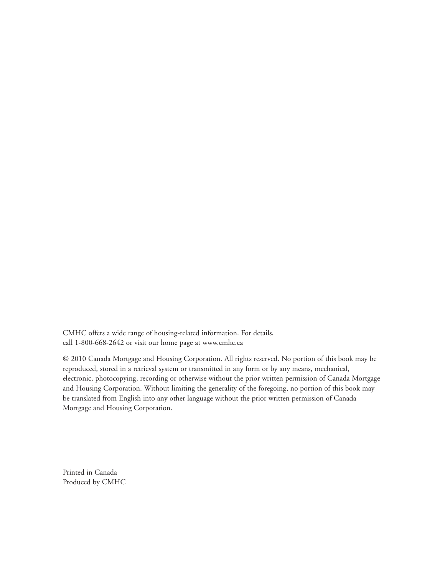CMHC offers a wide range of housing-related information. For details, call 1-800-668-2642 or visit our home page at www.cmhc.ca

© 2010 Canada Mortgage and Housing Corporation. All rights reserved. No portion of this book may be reproduced, stored in a retrieval system or transmitted in any form or by any means, mechanical, electronic, photocopying, recording or otherwise without the prior written permission of Canada Mortgage and Housing Corporation. Without limiting the generality of the foregoing, no portion of this book may be translated from English into any other language without the prior written permission of Canada Mortgage and Housing Corporation.

Printed in Canada Produced by CMHC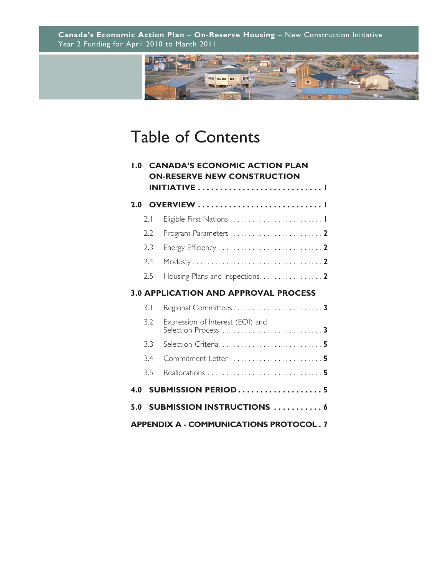

# Table of Contents

| $\mathbf{0}$ . I                               |     | <b>CANADA'S ECONOMIC ACTION PLAN</b><br><b>ON-RESERVE NEW CONSTRUCTION</b> |  |  |  |
|------------------------------------------------|-----|----------------------------------------------------------------------------|--|--|--|
|                                                |     |                                                                            |  |  |  |
| 2.0                                            |     |                                                                            |  |  |  |
|                                                | 2.1 |                                                                            |  |  |  |
|                                                | 2.2 |                                                                            |  |  |  |
|                                                | 2.3 |                                                                            |  |  |  |
|                                                | 2.4 |                                                                            |  |  |  |
|                                                | 2.5 | Housing Plans and Inspections2                                             |  |  |  |
| <b>3.0 APPLICATION AND APPROVAL PROCESS</b>    |     |                                                                            |  |  |  |
|                                                | 3.1 |                                                                            |  |  |  |
|                                                | 3.2 | Expression of Interest (EOI) and                                           |  |  |  |
|                                                | 3.3 | Selection Criteria 5                                                       |  |  |  |
|                                                | 3.4 |                                                                            |  |  |  |
|                                                | 3.5 |                                                                            |  |  |  |
| 4.0                                            |     | <b>SUBMISSION PERIOD5</b>                                                  |  |  |  |
| 5.0                                            |     | <b>SUBMISSION INSTRUCTIONS 6</b>                                           |  |  |  |
| <b>APPENDIX A - COMMUNICATIONS PROTOCOL. 7</b> |     |                                                                            |  |  |  |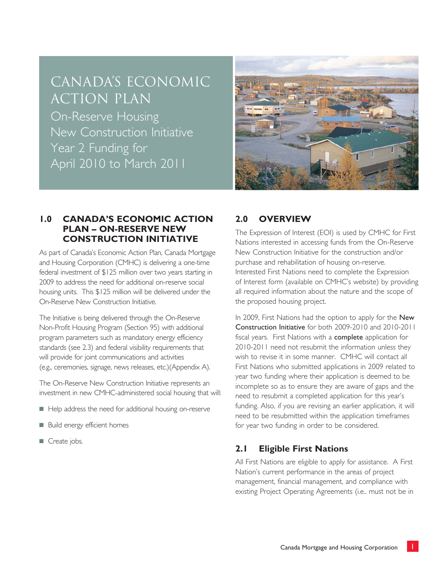# CANADA'S ECONOMIC ACTION PLAN

On-Reserve Housing New Construction Initiative Year 2 Funding for April 2010 to March 2011



## **1.0 CANADA'S ECONOMIC ACTION PLAN – ON-RESERVE NEW CONSTRUCTION INITIATIVE**

As part of Canada's Economic Action Plan, Canada Mortgage and Housing Corporation (CMHC) is delivering a one-time federal investment of \$125 million over two years starting in 2009 to address the need for additional on-reserve social housing units. This \$125 million will be delivered under the On-Reserve New Construction Initiative.

The Initiative is being delivered through the On-Reserve Non-Profit Housing Program (Section 95) with additional program parameters such as mandatory energy efficiency standards (see 2.3) and federal visibility requirements that will provide for joint communications and activities (e.g., ceremonies, signage, news releases, etc.)(Appendix A).

The On-Reserve New Construction Initiative represents an investment in new CMHC-administered social housing that will:

- Help address the need for additional housing on-reserve
- Build energy efficient homes
- Create jobs.

# **2.0 OVERVIEW**

The Expression of Interest (EOI) is used by CMHC for First Nations interested in accessing funds from the On-Reserve New Construction Initiative for the construction and/or purchase and rehabilitation of housing on-reserve. Interested First Nations need to complete the Expression of Interest form (available on CMHC's website) by providing all required information about the nature and the scope of the proposed housing project.

In 2009, First Nations had the option to apply for the New Construction Initiative for both 2009-2010 and 2010-2011 fiscal years. First Nations with a complete application for 2010-2011 need not resubmit the information unless they wish to revise it in some manner. CMHC will contact all First Nations who submitted applications in 2009 related to year two funding where their application is deemed to be incomplete so as to ensure they are aware of gaps and the need to resubmit a completed application for this year's funding. Also, if you are revising an earlier application, it will need to be resubmitted within the application timeframes for year two funding in order to be considered.

# **2.1 Eligible First Nations**

All First Nations are eligible to apply for assistance. A First Nation's current performance in the areas of project management, financial management, and compliance with existing Project Operating Agreements (i.e.. must not be in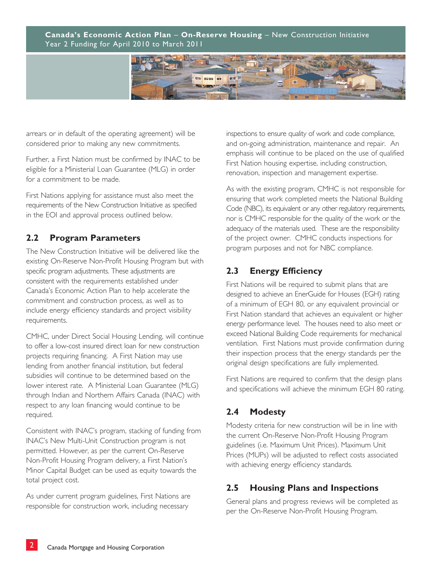

arrears or in default of the operating agreement) will be considered prior to making any new commitments.

Further, a First Nation must be confirmed by INAC to be eligible for a Ministerial Loan Guarantee (MLG) in order for a commitment to be made.

First Nations applying for assistance must also meet the requirements of the New Construction Initiative as specified in the EOI and approval process outlined below.

## **2.2 Program Parameters**

The New Construction Initiative will be delivered like the existing On-Reserve Non-Profit Housing Program but with specific program adjustments. These adjustments are consistent with the requirements established under Canada's Economic Action Plan to help accelerate the commitment and construction process, as well as to include energy efficiency standards and project visibility requirements.

CMHC, under Direct Social Housing Lending, will continue to offer a low-cost insured direct loan for new construction projects requiring financing. A First Nation may use lending from another financial institution, but federal subsidies will continue to be determined based on the lower interest rate. A Ministerial Loan Guarantee (MLG) through Indian and Northern Affairs Canada (INAC) with respect to any loan financing would continue to be required.

Consistent with INAC's program, stacking of funding from INAC's New Multi-Unit Construction program is not permitted. However, as per the current On-Reserve Non-Profit Housing Program delivery, a First Nation's Minor Capital Budget can be used as equity towards the total project cost.

As under current program guidelines, First Nations are responsible for construction work, including necessary

inspections to ensure quality of work and code compliance, and on-going administration, maintenance and repair. An emphasis will continue to be placed on the use of qualified First Nation housing expertise, including construction, renovation, inspection and management expertise.

As with the existing program, CMHC is not responsible for ensuring that work completed meets the National Building Code (NBC), its equivalent or any other regulatory requirements, nor is CMHC responsible for the quality of the work or the adequacy of the materials used. These are the responsibility of the project owner. CMHC conducts inspections for program purposes and not for NBC compliance.

## **2.3 Energy Efficiency**

First Nations will be required to submit plans that are designed to achieve an EnerGuide for Houses (EGH) rating of a minimum of EGH 80, or any equivalent provincial or First Nation standard that achieves an equivalent or higher energy performance level. The houses need to also meet or exceed National Building Code requirements for mechanical ventilation. First Nations must provide confirmation during their inspection process that the energy standards per the original design specifications are fully implemented.

First Nations are required to confirm that the design plans and specifications will achieve the minimum EGH 80 rating.

# **2.4 Modesty**

Modesty criteria for new construction will be in line with the current On-Reserve Non-Profit Housing Program guidelines (i.e. Maximum Unit Prices). Maximum Unit Prices (MUPs) will be adjusted to reflect costs associated with achieving energy efficiency standards.

# **2.5 Housing Plans and Inspections**

General plans and progress reviews will be completed as per the On-Reserve Non-Profit Housing Program.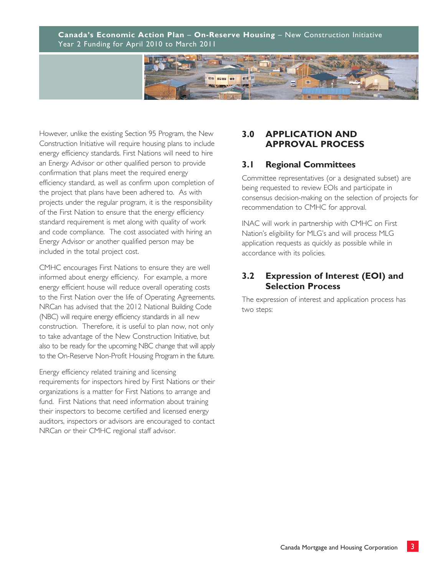

However, unlike the existing Section 95 Program, the New Construction Initiative will require housing plans to include energy efficiency standards. First Nations will need to hire an Energy Advisor or other qualified person to provide confirmation that plans meet the required energy efficiency standard, as well as confirm upon completion of the project that plans have been adhered to. As with projects under the regular program, it is the responsibility of the First Nation to ensure that the energy efficiency standard requirement is met along with quality of work and code compliance. The cost associated with hiring an Energy Advisor or another qualified person may be included in the total project cost.

CMHC encourages First Nations to ensure they are well informed about energy efficiency. For example, a more energy efficient house will reduce overall operating costs to the First Nation over the life of Operating Agreements. NRCan has advised that the 2012 National Building Code (NBC) will require energy efficiency standards in all new construction. Therefore, it is useful to plan now, not only to take advantage of the New Construction Initiative, but also to be ready for the upcoming NBC change that will apply to the On-Reserve Non-Profit Housing Program in the future.

Energy efficiency related training and licensing requirements for inspectors hired by First Nations or their organizations is a matter for First Nations to arrange and fund. First Nations that need information about training their inspectors to become certified and licensed energy auditors, inspectors or advisors are encouraged to contact NRCan or their CMHC regional staff advisor.

#### **3.0 APPLICATION AND APPROVAL PROCESS**

## **3.1 Regional Committees**

Committee representatives (or a designated subset) are being requested to review EOIs and participate in consensus decision-making on the selection of projects for recommendation to CMHC for approval.

INAC will work in partnership with CMHC on First Nation's eligibility for MLG's and will process MLG application requests as quickly as possible while in accordance with its policies.

## **3.2 Expression of Interest (EOI) and Selection Process**

The expression of interest and application process has two steps: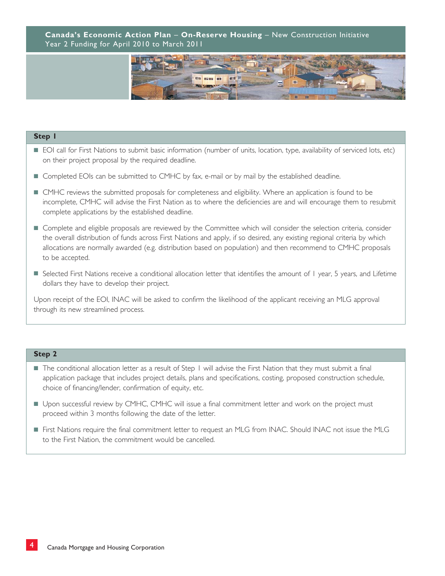

#### **Step 1**

- EOI call for First Nations to submit basic information (number of units, location, type, availability of serviced lots, etc) on their project proposal by the required deadline.
- Completed EOIs can be submitted to CMHC by fax, e-mail or by mail by the established deadline.
- CMHC reviews the submitted proposals for completeness and eligibility. Where an application is found to be incomplete, CMHC will advise the First Nation as to where the deficiencies are and will encourage them to resubmit complete applications by the established deadline.
- Complete and eligible proposals are reviewed by the Committee which will consider the selection criteria, consider the overall distribution of funds across First Nations and apply, if so desired, any existing regional criteria by which allocations are normally awarded (e.g. distribution based on population) and then recommend to CMHC proposals to be accepted.
- Selected First Nations receive a conditional allocation letter that identifies the amount of 1 year, 5 years, and Lifetime dollars they have to develop their project.

Upon receipt of the EOI, INAC will be asked to confirm the likelihood of the applicant receiving an MLG approval through its new streamlined process.

#### **Step 2**

- The conditional allocation letter as a result of Step 1 will advise the First Nation that they must submit a final application package that includes project details, plans and specifications, costing, proposed construction schedule, choice of financing/lender, confirmation of equity, etc.
- Upon successful review by CMHC, CMHC will issue a final commitment letter and work on the project must proceed within 3 months following the date of the letter.
- First Nations require the final commitment letter to request an MLG from INAC. Should INAC not issue the MLG to the First Nation, the commitment would be cancelled.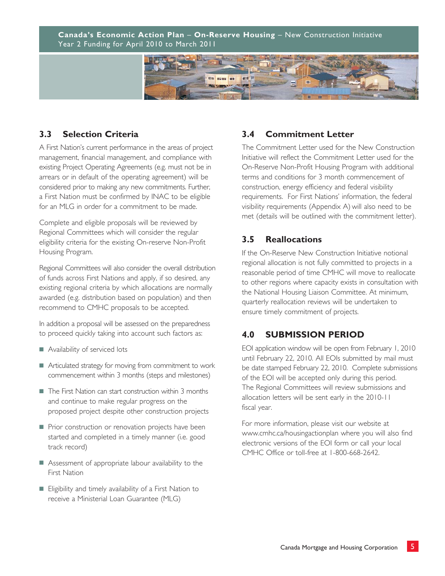

## **3.3 Selection Criteria**

A First Nation's current performance in the areas of project management, financial management, and compliance with existing Project Operating Agreements (e.g. must not be in arrears or in default of the operating agreement) will be considered prior to making any new commitments. Further, a First Nation must be confirmed by INAC to be eligible for an MLG in order for a commitment to be made.

Complete and eligible proposals will be reviewed by Regional Committees which will consider the regular eligibility criteria for the existing On-reserve Non-Profit Housing Program.

Regional Committees will also consider the overall distribution of funds across First Nations and apply, if so desired, any existing regional criteria by which allocations are normally awarded (e.g. distribution based on population) and then recommend to CMHC proposals to be accepted.

In addition a proposal will be assessed on the preparedness to proceed quickly taking into account such factors as:

- Availability of serviced lots
- Articulated strategy for moving from commitment to work commencement within 3 months (steps and milestones)
- The First Nation can start construction within 3 months and continue to make regular progress on the proposed project despite other construction projects
- Prior construction or renovation projects have been started and completed in a timely manner (i.e. good track record)
- Assessment of appropriate labour availability to the First Nation
- Eligibility and timely availability of a First Nation to receive a Ministerial Loan Guarantee (MLG)

## **3.4 Commitment Letter**

The Commitment Letter used for the New Construction Initiative will reflect the Commitment Letter used for the On-Reserve Non-Profit Housing Program with additional terms and conditions for 3 month commencement of construction, energy efficiency and federal visibility requirements. For First Nations' information, the federal visibility requirements (Appendix A) will also need to be met (details will be outlined with the commitment letter).

## **3.5 Reallocations**

If the On-Reserve New Construction Initiative notional regional allocation is not fully committed to projects in a reasonable period of time CMHC will move to reallocate to other regions where capacity exists in consultation with the National Housing Liaison Committee. At minimum, quarterly reallocation reviews will be undertaken to ensure timely commitment of projects.

# **4.0 SUBMISSION PERIOD**

EOI application window will be open from February 1, 2010 until February 22, 2010. All EOIs submitted by mail must be date stamped February 22, 2010. Complete submissions of the EOI will be accepted only during this period. The Regional Committees will review submissions and allocation letters will be sent early in the 2010-11 fiscal year.

For more information, please visit our website at www.cmhc.ca/housingactionplan where you will also find electronic versions of the EOI form or call your local CMHC Office or toll-free at 1-800-668-2642.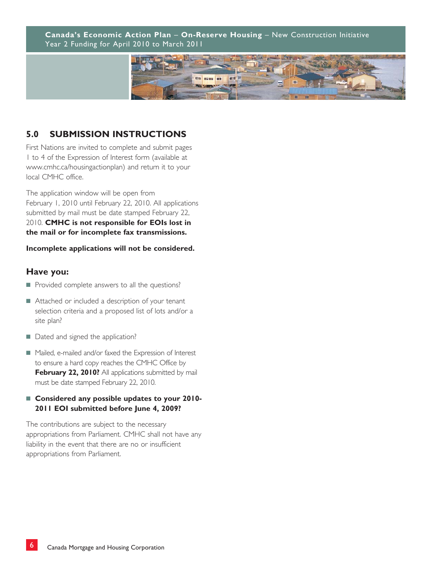

# **5.0 SUBMISSION INSTRUCTIONS**

First Nations are invited to complete and submit pages 1 to 4 of the Expression of Interest form (available at www.cmhc.ca/housingactionplan) and return it to your local CMHC office.

The application window will be open from February 1, 2010 until February 22, 2010. All applications submitted by mail must be date stamped February 22, 2010. **CMHC is not responsible for EOIs lost in the mail or for incomplete fax transmissions.**

#### **Incomplete applications will not be considered.**

#### **Have you:**

- Provided complete answers to all the questions?
- Attached or included a description of your tenant selection criteria and a proposed list of lots and/or a site plan?
- Dated and signed the application?
- Mailed, e-mailed and/or faxed the Expression of Interest to ensure a hard copy reaches the CMHC Office by **February 22, 2010?** All applications submitted by mail must be date stamped February 22, 2010.

#### ■ **Considered any possible updates to your 2010-2011 EOI submitted before June 4, 2009?**

The contributions are subject to the necessary appropriations from Parliament. CMHC shall not have any liability in the event that there are no or insufficient appropriations from Parliament.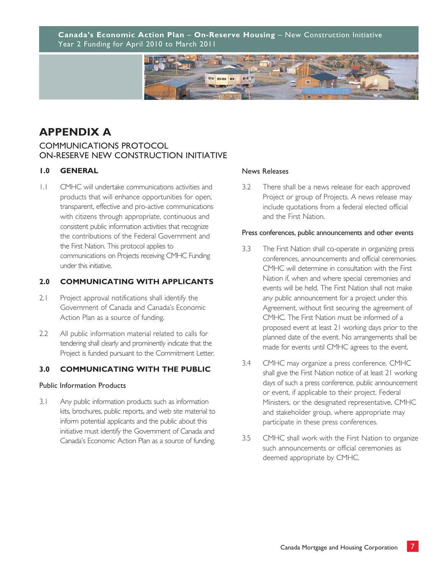

# **APPENDIX A**

#### COMMUNICATIONS PROTOCOL ON-RESERVE NEW CONSTRUCTION INITIATIVE

#### **1.0 GENERAL**

1.1 CMHC will undertake communications activities and products that will enhance opportunities for open, transparent, effective and pro-active communications with citizens through appropriate, continuous and consistent public information activities that recognize the contributions of the Federal Government and the First Nation. This protocol applies to communications on Projects receiving CMHC Funding under this initiative.

#### **2.0 COMMUNICATING WITH APPLICANTS**

- 2.1 Project approval notifications shall identify the Government of Canada and Canada's Economic Action Plan as a source of funding.
- 2.2 All public information material related to calls for tendering shall clearly and prominently indicate that the Project is funded pursuant to the Commitment Letter.

#### **3.0 COMMUNICATING WITH THE PUBLIC**

#### Public Information Products

3.1 Any public information products such as information kits, brochures, public reports, and web site material to inform potential applicants and the public about this initiative must identify the Government of Canada and Canada's Economic Action Plan as a source of funding.

#### News Releases

3.2 There shall be a news release for each approved Project or group of Projects. A news release may include quotations from a federal elected official and the First Nation.

#### Press conferences, public announcements and other events

- 3.3 The First Nation shall co-operate in organizing press conferences, announcements and official ceremonies. CMHC will determine in consultation with the First Nation if, when and where special ceremonies and events will be held. The First Nation shall not make any public announcement for a project under this Agreement, without first securing the agreement of CMHC. The First Nation must be informed of a proposed event at least 21 working days prior to the planned date of the event. No arrangements shall be made for events until CMHC agrees to the event.
- 3.4 CMHC may organize a press conference. CMHC shall give the First Nation notice of at least 21 working days of such a press conference, public announcement or event, if applicable to their project. Federal Ministers, or the designated representative, CMHC and stakeholder group, where appropriate may participate in these press conferences.
- 3.5 CMHC shall work with the First Nation to organize such announcements or official ceremonies as deemed appropriate by CMHC.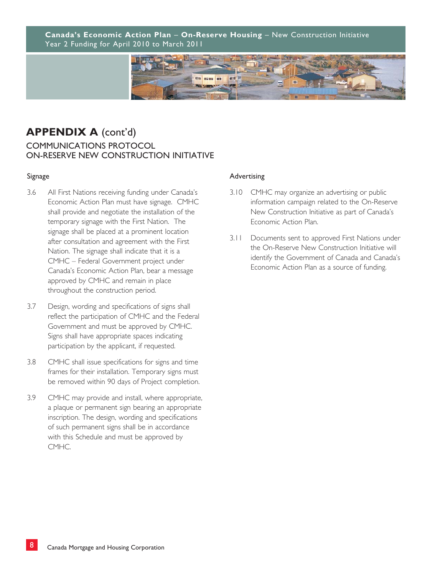

# **APPENDIX A** (cont'd) COMMUNICATIONS PROTOCOL ON-RESERVE NEW CONSTRUCTION INITIATIVE

#### Signage

- 3.6 All First Nations receiving funding under Canada's Economic Action Plan must have signage. CMHC shall provide and negotiate the installation of the temporary signage with the First Nation. The signage shall be placed at a prominent location after consultation and agreement with the First Nation. The signage shall indicate that it is a CMHC – Federal Government project under Canada's Economic Action Plan, bear a message approved by CMHC and remain in place throughout the construction period.
- 3.7 Design, wording and specifications of signs shall reflect the participation of CMHC and the Federal Government and must be approved by CMHC. Signs shall have appropriate spaces indicating participation by the applicant, if requested.
- 3.8 CMHC shall issue specifications for signs and time frames for their installation. Temporary signs must be removed within 90 days of Project completion.
- 3.9 CMHC may provide and install, where appropriate, a plaque or permanent sign bearing an appropriate inscription. The design, wording and specifications of such permanent signs shall be in accordance with this Schedule and must be approved by CMHC.

#### Advertising

- 3.10 CMHC may organize an advertising or public information campaign related to the On-Reserve New Construction Initiative as part of Canada's Economic Action Plan.
- 3.11 Documents sent to approved First Nations under the On-Reserve New Construction Initiative will identify the Government of Canada and Canada's Economic Action Plan as a source of funding.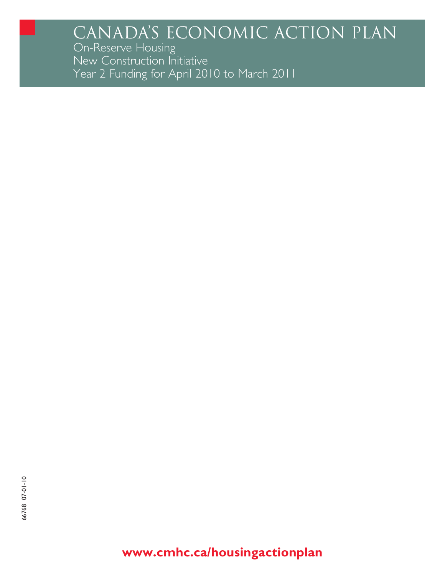# CANADA'S ECONOMIC ACTION PLAN

On-Reserve Housing<br>New Construction Initiative Year 2 Funding for April 2010 to March 2011

www.cmhc.ca/housingactionplan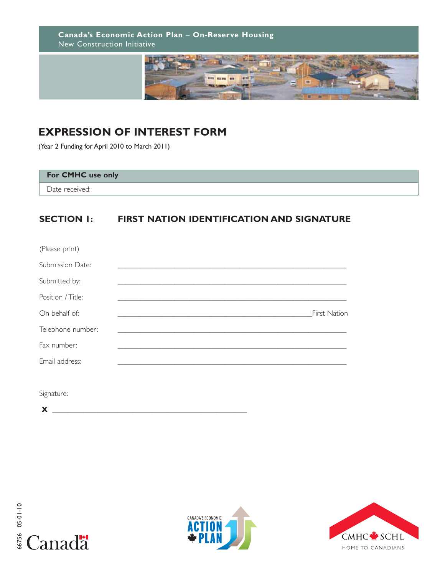**Canada's Economic Action Plan** – **On-Reserve Housing** New Construction Initiative



# **EXPRESSION OF INTEREST FORM**

(Year 2 Funding for April 2010 to March 2011)

#### **For CMHC use only**

Date received:

# **SECTION 1: FIRST NATION IDENTIFICATION AND SIGNATURE**

| (Please print)    |  |              |
|-------------------|--|--------------|
| Submission Date:  |  |              |
| Submitted by:     |  |              |
| Position / Title: |  |              |
| On behalf of:     |  | First Nation |
| Telephone number: |  |              |
| Fax number:       |  |              |
| Email address:    |  |              |
|                   |  |              |
|                   |  |              |

Signature:

**X \_\_\_\_\_\_\_\_\_\_\_\_\_\_\_\_\_\_\_\_\_\_\_\_\_\_\_\_\_\_\_\_\_\_\_\_\_\_\_\_\_\_\_\_\_\_\_\_\_\_\_**





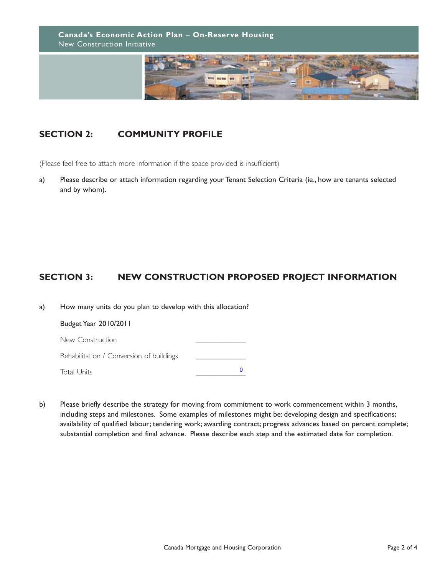**Canada's Economic Action Plan** – **On-Reserve Housing**  New Construction Initiative



# **SECTION 2: COMMUNITY PROFILE**

(Please feel free to attach more information if the space provided is insufficient)

a) Please describe or attach information regarding your Tenant Selection Criteria (ie., how are tenants selected and by whom).

# **SECTION 3: NEW CONSTRUCTION PROPOSED PROJECT INFORMATION**

| a) | How many units do you plan to develop with this allocation? |   |  |  |  |
|----|-------------------------------------------------------------|---|--|--|--|
|    | Budget Year 2010/2011                                       |   |  |  |  |
|    | New Construction                                            |   |  |  |  |
|    | Rehabilitation / Conversion of buildings                    |   |  |  |  |
|    | <b>Total Units</b>                                          | O |  |  |  |

b) Please briefly describe the strategy for moving from commitment to work commencement within 3 months, including steps and milestones. Some examples of milestones might be: developing design and specifications; availability of qualified labour; tendering work; awarding contract; progress advances based on percent complete; substantial completion and final advance. Please describe each step and the estimated date for completion.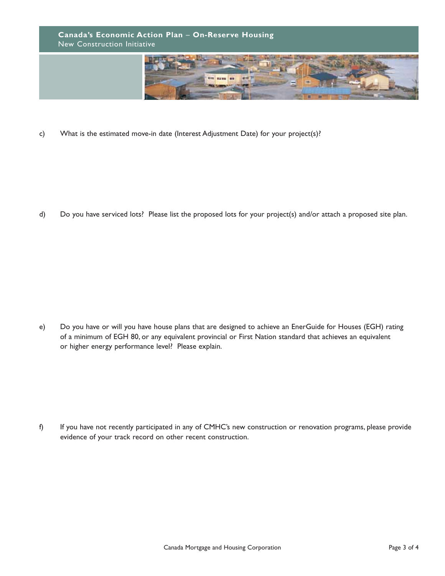

c) What is the estimated move-in date (Interest Adjustment Date) for your project(s)?

d) Do you have serviced lots? Please list the proposed lots for your project(s) and/or attach a proposed site plan.

e) Do you have or will you have house plans that are designed to achieve an EnerGuide for Houses (EGH) rating of a minimum of EGH 80, or any equivalent provincial or First Nation standard that achieves an equivalent or higher energy performance level? Please explain.

f) If you have not recently participated in any of CMHC's new construction or renovation programs, please provide evidence of your track record on other recent construction.